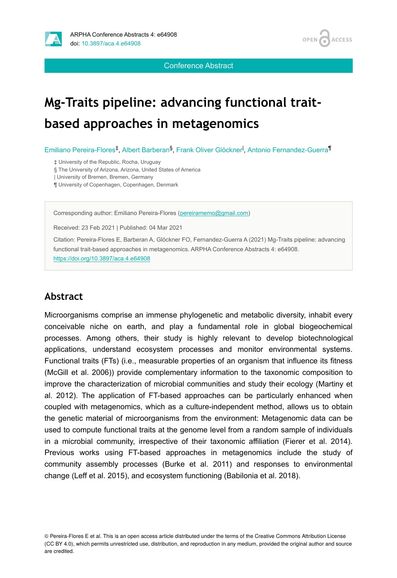

Conference Abstract

**ACCESS** 

OPEN /

# **Mg-Traits pipeline: advancing functional traitbased approaches in metagenomics**

Emiliano Pereira-Flores<sup>‡</sup>, Albert Barberan<sup>§</sup>, Frank Oliver Glöckner<sup>1</sup>, Antonio Fernandez-Guerra<sup>¶</sup>

‡ University of the Republic, Rocha, Uruguay

§ The University of Arizona, Arizona, United States of America

| University of Bremen, Bremen, Germany

¶ University of Copenhagen, Copenhagen, Denmark

Corresponding author: Emiliano Pereira-Flores ([pereiramemo@gmail.com](mailto:pereiramemo@gmail.com))

Received: 23 Feb 2021 | Published: 04 Mar 2021

Citation: Pereira-Flores E, Barberan A, Glöckner FO, Fernandez-Guerra A (2021) Mg-Traits pipeline: advancing functional trait-based approaches in metagenomics. ARPHA Conference Abstracts 4: e64908. <https://doi.org/10.3897/aca.4.e64908>

## **Abstract**

Microorganisms comprise an immense phylogenetic and metabolic diversity, inhabit every conceivable niche on earth, and play a fundamental role in global biogeochemical processes. Among others, their study is highly relevant to develop biotechnological applications, understand ecosystem processes and monitor environmental systems. Functional traits (FTs) (i.e., measurable properties of an organism that influence its fitness (McGill et al. 2006)) provide complementary information to the taxonomic composition to improve the characterization of microbial communities and study their ecology (Martiny et al. 2012). The application of FT-based approaches can be particularly enhanced when coupled with metagenomics, which as a culture-independent method, allows us to obtain the genetic material of microorganisms from the environment: Metagenomic data can be used to compute functional traits at the genome level from a random sample of individuals in a microbial community, irrespective of their taxonomic affiliation (Fierer et al. 2014). Previous works using FT-based approaches in metagenomics include the study of community assembly processes (Burke et al. 2011) and responses to environmental change (Leff et al. 2015), and ecosystem functioning (Babilonia et al. 2018).

<sup>©</sup> Pereira-Flores E et al. This is an open access article distributed under the terms of the Creative Commons Attribution License (CC BY 4.0), which permits unrestricted use, distribution, and reproduction in any medium, provided the original author and source are credited.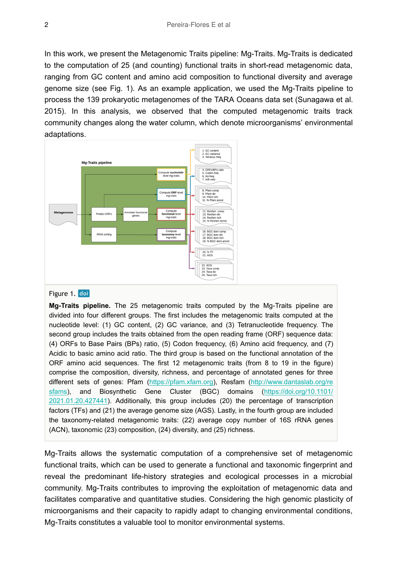In this work, we present the Metagenomic Traits pipeline: Mg-Traits. Mg-Traits is dedicated to the computation of 25 (and counting) functional traits in short-read metagenomic data, ranging from GC content and amino acid composition to functional diversity and average genome size (see Fig. 1). As an example application, we used the Mg-Traits pipeline to process the 139 prokaryotic metagenomes of the TARA Oceans data set (Sunagawa et al. 2015). In this analysis, we observed that the computed metagenomic traits track community changes along the water column, which denote microorganisms' environmental adaptations.



#### Figure 1. doi

**Mg-Traits pipeline.** The 25 metagenomic traits computed by the Mg-Traits pipeline are divided into four different groups. The first includes the metagenomic traits computed at the nucleotide level: (1) GC content, (2) GC variance, and (3) Tetranucleotide frequency. The second group includes the traits obtained from the open reading frame (ORF) sequence data: (4) ORFs to Base Pairs (BPs) ratio, (5) Codon frequency, (6) Amino acid frequency, and (7) Acidic to basic amino acid ratio. The third group is based on the functional annotation of the ORF amino acid sequences. The first 12 metagenomic traits (from 8 to 19 in the figure) comprise the composition, diversity, richness, and percentage of annotated genes for three different sets of genes: Pfam ([https://pfam.xfam.org](https://pfam.xfam.org/)), Resfam [\(http://www.dantaslab.org/re](http://www.dantaslab.org/resfams) [sfams](http://www.dantaslab.org/resfams)), and Biosynthetic Gene Cluster (BGC) domains ([https://doi.org/10.1101/](https://doi.org/10.1101/2021.01.20.427441) [2021.01.20.427441\)](https://doi.org/10.1101/2021.01.20.427441). Additionally, this group includes (20) the percentage of transcription factors (TFs) and (21) the average genome size (AGS). Lastly, in the fourth group are included the taxonomy-related metagenomic traits: (22) average copy number of 16S rRNA genes (ACN), taxonomic (23) composition, (24) diversity, and (25) richness.

Mg-Traits allows the systematic computation of a comprehensive set of metagenomic functional traits, which can be used to generate a functional and taxonomic fingerprint and reveal the predominant life-history strategies and ecological processes in a microbial community. Mg-Traits contributes to improving the exploitation of metagenomic data and facilitates comparative and quantitative studies. Considering the high genomic plasticity of microorganisms and their capacity to rapidly adapt to changing environmental conditions, Mg-Traits constitutes a valuable tool to monitor environmental systems.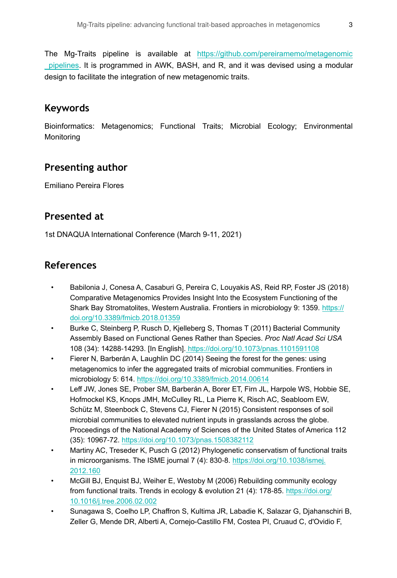The Mg-Traits pipeline is available at [https://github.com/pereiramemo/metagenomic](https://github.com/pereiramemo/metagenomic_pipelines) [\\_pipelines.](https://github.com/pereiramemo/metagenomic_pipelines) It is programmed in AWK, BASH, and R, and it was devised using a modular design to facilitate the integration of new metagenomic traits.

# **Keywords**

Bioinformatics: Metagenomics; Functional Traits; Microbial Ecology; Environmental **Monitoring** 

# **Presenting author**

Emiliano Pereira Flores

## **Presented at**

1st DNAQUA International Conference (March 9-11, 2021)

# **References**

- Babilonia J, Conesa A, Casaburi G, Pereira C, Louyakis AS, Reid RP, Foster JS (2018) Comparative Metagenomics Provides Insight Into the Ecosystem Functioning of the Shark Bay Stromatolites, Western Australia. Frontiers in microbiology 9: 1359. [https://](https://doi.org/10.3389/fmicb.2018.01359) [doi.org/10.3389/fmicb.2018.01359](https://doi.org/10.3389/fmicb.2018.01359)
- Burke C, Steinberg P, Rusch D, Kjelleberg S, Thomas T (2011) Bacterial Community Assembly Based on Functional Genes Rather than Species. *Proc Natl Acad Sci USA*  108 (34): 14288‑14293. [In English].<https://doi.org/10.1073/pnas.1101591108>
- Fierer N, Barberán A, Laughlin DC (2014) Seeing the forest for the genes: using metagenomics to infer the aggregated traits of microbial communities. Frontiers in microbiology 5: 614.<https://doi.org/10.3389/fmicb.2014.00614>
- Leff JW, Jones SE, Prober SM, Barberán A, Borer ET, Firn JL, Harpole WS, Hobbie SE, Hofmockel KS, Knops JMH, McCulley RL, La Pierre K, Risch AC, Seabloom EW, Schütz M, Steenbock C, Stevens CJ, Fierer N (2015) Consistent responses of soil microbial communities to elevated nutrient inputs in grasslands across the globe. Proceedings of the National Academy of Sciences of the United States of America 112 (35): 10967‑72.<https://doi.org/10.1073/pnas.1508382112>
- Martiny AC, Treseder K, Pusch G (2012) Phylogenetic conservatism of functional traits in microorganisms. The ISME journal 7 (4): 830-8. [https://doi.org/10.1038/ismej.](https://doi.org/10.1038/ismej.2012.160) [2012.160](https://doi.org/10.1038/ismej.2012.160)
- McGill BJ, Enquist BJ, Weiher E, Westoby M (2006) Rebuilding community ecology from functional traits. Trends in ecology & evolution 21 (4): 178‑85. [https://doi.org/](https://doi.org/10.1016/j.tree.2006.02.002) [10.1016/j.tree.2006.02.002](https://doi.org/10.1016/j.tree.2006.02.002)
- Sunagawa S, Coelho LP, Chaffron S, Kultima JR, Labadie K, Salazar G, Djahanschiri B, Zeller G, Mende DR, Alberti A, Cornejo-Castillo FM, Costea PI, Cruaud C, d'Ovidio F,